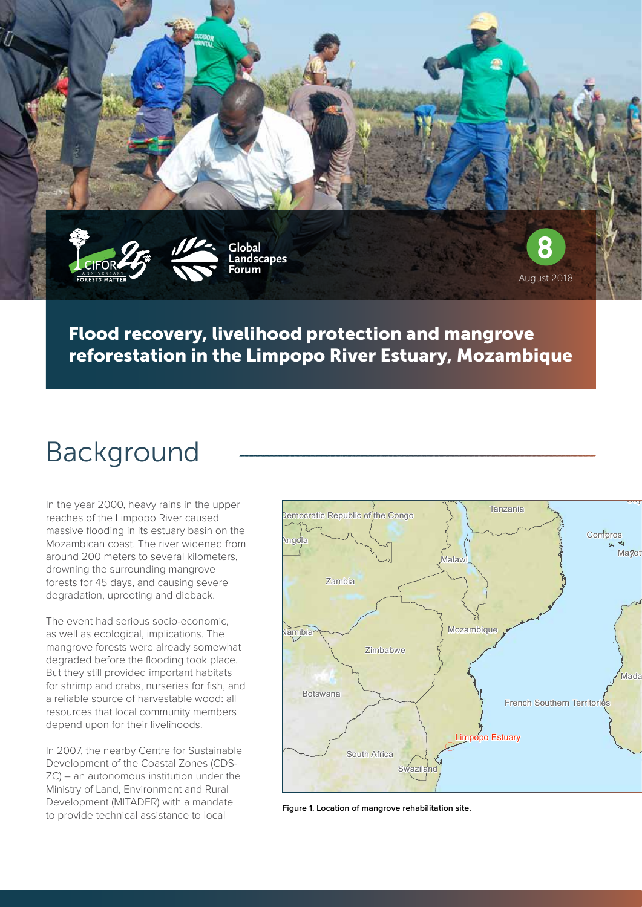

#### Flood recovery, livelihood protection and mangrove reforestation in the Limpopo River Estuary, Mozambique

## Background

In the year 2000, heavy rains in the upper reaches of the Limpopo River caused massive flooding in its estuary basin on the Mozambican coast. The river widened from around 200 meters to several kilometers, drowning the surrounding mangrove forests for 45 days, and causing severe degradation, uprooting and dieback.

The event had serious socio-economic, as well as ecological, implications. The mangrove forests were already somewhat degraded before the flooding took place. But they still provided important habitats for shrimp and crabs, nurseries for fish, and a reliable source of harvestable wood: all resources that local community members depend upon for their livelihoods.

In 2007, the nearby Centre for Sustainable Development of the Coastal Zones (CDS-ZC) – an autonomous institution under the Ministry of Land, Environment and Rural Development (MITADER) with a mandate to provide technical assistance to local



**Figure 1. Location of mangrove rehabilitation site.**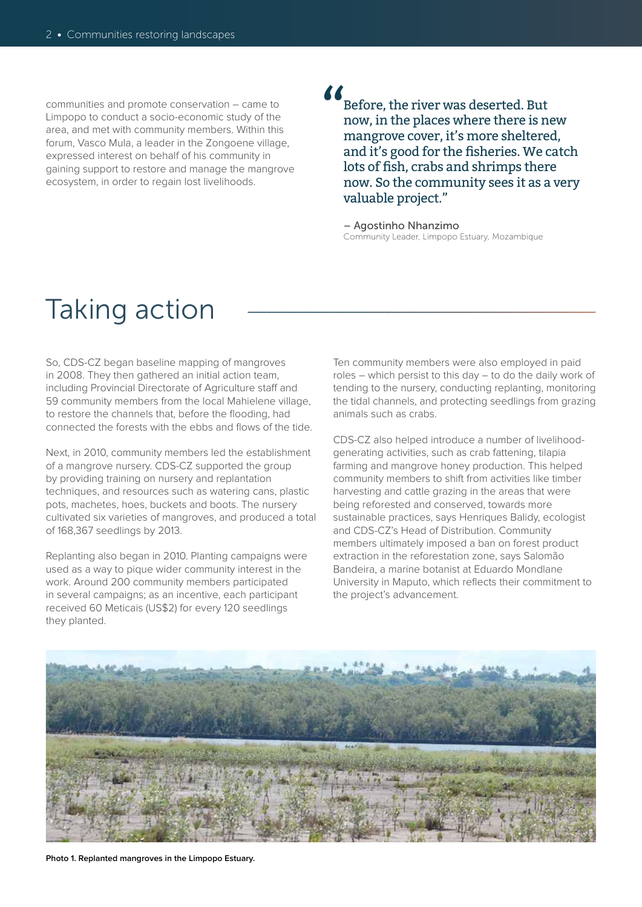communities and promote conservation – came to Limpopo to conduct a socio-economic study of the area, and met with community members. Within this forum, Vasco Mula, a leader in the Zongoene village, expressed interest on behalf of his community in gaining support to restore and manage the mangrove ecosystem, in order to regain lost livelihoods.

# $\sum_{j=1}^{n}$

Before, the river was deserted. But now, in the places where there is new mangrove cover, it's more sheltered, and it's good for the fisheries. We catch lots of fish, crabs and shrimps there now. So the community sees it as a very valuable project."

– Agostinho Nhanzimo Community Leader, Limpopo Estuary, Mozambique

#### Taking action

So, CDS-CZ began baseline mapping of mangroves in 2008. They then gathered an initial action team, including Provincial Directorate of Agriculture staff and 59 community members from the local Mahielene village, to restore the channels that, before the flooding, had connected the forests with the ebbs and flows of the tide.

Next, in 2010, community members led the establishment of a mangrove nursery. CDS-CZ supported the group by providing training on nursery and replantation techniques, and resources such as watering cans, plastic pots, machetes, hoes, buckets and boots. The nursery cultivated six varieties of mangroves, and produced a total of 168,367 seedlings by 2013.

Replanting also began in 2010. Planting campaigns were used as a way to pique wider community interest in the work. Around 200 community members participated in several campaigns; as an incentive, each participant received 60 Meticais (US\$2) for every 120 seedlings they planted.

Ten community members were also employed in paid roles – which persist to this day – to do the daily work of tending to the nursery, conducting replanting, monitoring the tidal channels, and protecting seedlings from grazing animals such as crabs.

CDS-CZ also helped introduce a number of livelihoodgenerating activities, such as crab fattening, tilapia farming and mangrove honey production. This helped community members to shift from activities like timber harvesting and cattle grazing in the areas that were being reforested and conserved, towards more sustainable practices, says Henriques Balidy, ecologist and CDS-CZ's Head of Distribution. Community members ultimately imposed a ban on forest product extraction in the reforestation zone, says Salomão Bandeira, a marine botanist at Eduardo Mondlane University in Maputo, which reflects their commitment to the project's advancement.



**Photo 1. Replanted mangroves in the Limpopo Estuary.**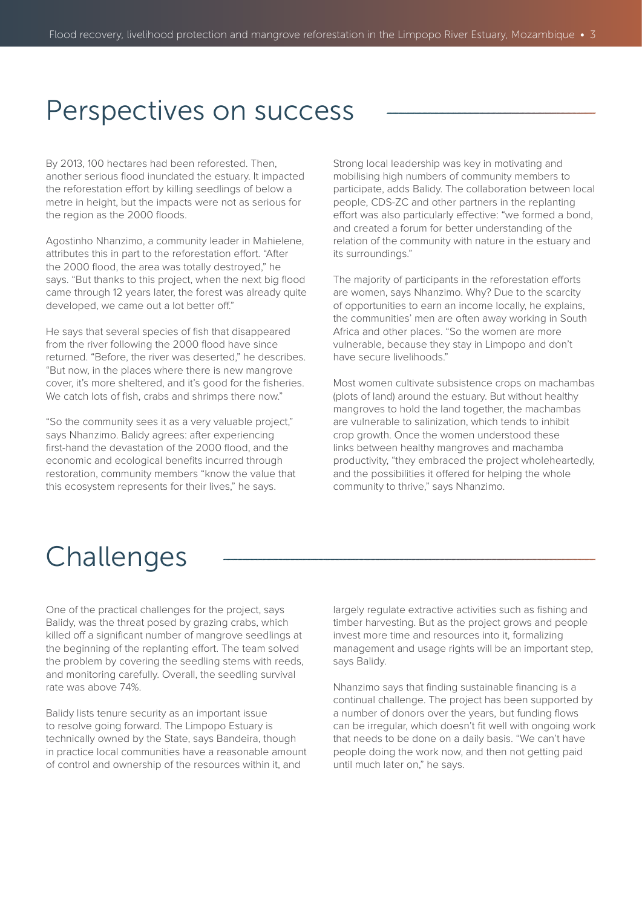#### Perspectives on success

By 2013, 100 hectares had been reforested. Then, another serious flood inundated the estuary. It impacted the reforestation effort by killing seedlings of below a metre in height, but the impacts were not as serious for the region as the 2000 floods.

Agostinho Nhanzimo, a community leader in Mahielene, attributes this in part to the reforestation effort. "After the 2000 flood, the area was totally destroyed," he says. "But thanks to this project, when the next big flood came through 12 years later, the forest was already quite developed, we came out a lot better off."

He says that several species of fish that disappeared from the river following the 2000 flood have since returned. "Before, the river was deserted," he describes. "But now, in the places where there is new mangrove cover, it's more sheltered, and it's good for the fisheries. We catch lots of fish, crabs and shrimps there now."

"So the community sees it as a very valuable project," says Nhanzimo. Balidy agrees: after experiencing first-hand the devastation of the 2000 flood, and the economic and ecological benefits incurred through restoration, community members "know the value that this ecosystem represents for their lives," he says.

Strong local leadership was key in motivating and mobilising high numbers of community members to participate, adds Balidy. The collaboration between local people, CDS-ZC and other partners in the replanting effort was also particularly effective: "we formed a bond, and created a forum for better understanding of the relation of the community with nature in the estuary and its surroundings."

The majority of participants in the reforestation efforts are women, says Nhanzimo. Why? Due to the scarcity of opportunities to earn an income locally, he explains, the communities' men are often away working in South Africa and other places. "So the women are more vulnerable, because they stay in Limpopo and don't have secure livelihoods."

Most women cultivate subsistence crops on machambas (plots of land) around the estuary. But without healthy mangroves to hold the land together, the machambas are vulnerable to salinization, which tends to inhibit crop growth. Once the women understood these links between healthy mangroves and machamba productivity, "they embraced the project wholeheartedly, and the possibilities it offered for helping the whole community to thrive," says Nhanzimo.

### Challenges

One of the practical challenges for the project, says Balidy, was the threat posed by grazing crabs, which killed off a significant number of mangrove seedlings at the beginning of the replanting effort. The team solved the problem by covering the seedling stems with reeds, and monitoring carefully. Overall, the seedling survival rate was above 74%.

Balidy lists tenure security as an important issue to resolve going forward. The Limpopo Estuary is technically owned by the State, says Bandeira, though in practice local communities have a reasonable amount of control and ownership of the resources within it, and

largely regulate extractive activities such as fishing and timber harvesting. But as the project grows and people invest more time and resources into it, formalizing management and usage rights will be an important step, says Balidy.

Nhanzimo says that finding sustainable financing is a continual challenge. The project has been supported by a number of donors over the years, but funding flows can be irregular, which doesn't fit well with ongoing work that needs to be done on a daily basis. "We can't have people doing the work now, and then not getting paid until much later on," he says.